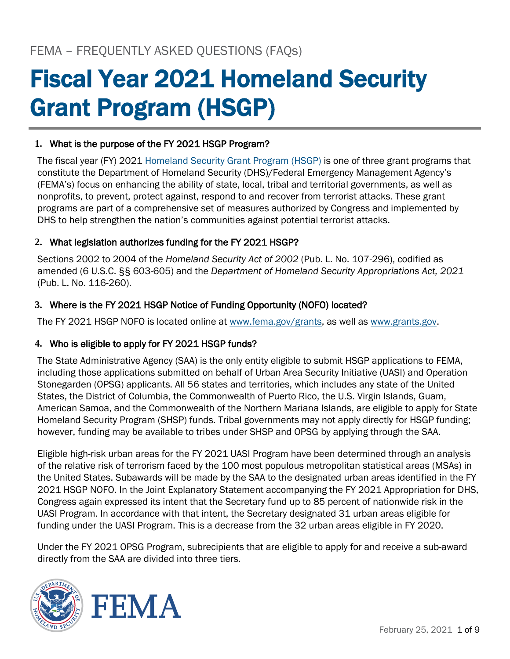# Fiscal Year 2021 Homeland Security Grant Program (HSGP)

# **1.** What is the purpose of the FY 2021 HSGP Program?

 (FEMA's) focus on enhancing the ability of state, local, tribal and territorial governments, as well as The fiscal year (FY) 2021 [Homeland Security Grant Program \(HSGP\)](https://www.fema.gov/grants/preparedness/homeland-security) is one of three grant programs that constitute the Department of Homeland Security (DHS)/Federal Emergency Management Agency's nonprofits, to prevent, protect against, respond to and recover from terrorist attacks. These grant programs are part of a comprehensive set of measures authorized by Congress and implemented by DHS to help strengthen the nation's communities against potential terrorist attacks.

# **2.** What legislation authorizes funding for the FY 2021 HSGP?

Sections 2002 to 2004 of the *Homeland Security Act of 2002* (Pub. L. No. 107-296), codified as amended (6 U.S.C. §§ 603-605) and the *Department of Homeland Security Appropriations Act, 2021*  (Pub. L. No. 116-260).

# **3.** Where is the FY 2021 HSGP Notice of Funding Opportunity (NOFO) located?

The FY 2021 HSGP NOFO is located online at [www.fema.gov/grants,](http://www.fema.gov/grants) as well as [www.grants.gov.](file:///C:/Users/kthoma39/AppData/Local/Microsoft/Windows/INetCache/Content.Outlook/MHFDQOWN/www.grants.gov)

## **4.** Who is eligible to apply for FY 2021 HSGP funds?

The State Administrative Agency (SAA) is the only entity eligible to submit HSGP applications to FEMA, including those applications submitted on behalf of Urban Area Security Initiative (UASI) and Operation Stonegarden (OPSG) applicants. All 56 states and territories, which includes any state of the United States, the District of Columbia, the Commonwealth of Puerto Rico, the U.S. Virgin Islands, Guam, American Samoa, and the Commonwealth of the Northern Mariana Islands, are eligible to apply for State Homeland Security Program (SHSP) funds. Tribal governments may not apply directly for HSGP funding; however, funding may be available to tribes under SHSP and OPSG by applying through the SAA.

Eligible high-risk urban areas for the FY 2021 UASI Program have been determined through an analysis of the relative risk of terrorism faced by the 100 most populous metropolitan statistical areas (MSAs) in the United States. Subawards will be made by the SAA to the designated urban areas identified in the FY 2021 HSGP NOFO. In the Joint Explanatory Statement accompanying the FY 2021 Appropriation for DHS, Congress again expressed its intent that the Secretary fund up to 85 percent of nationwide risk in the UASI Program. In accordance with that intent, the Secretary designated 31 urban areas eligible for funding under the UASI Program. This is a decrease from the 32 urban areas eligible in FY 2020.

Under the FY 2021 OPSG Program, subrecipients that are eligible to apply for and receive a sub-award directly from the SAA are divided into three tiers.

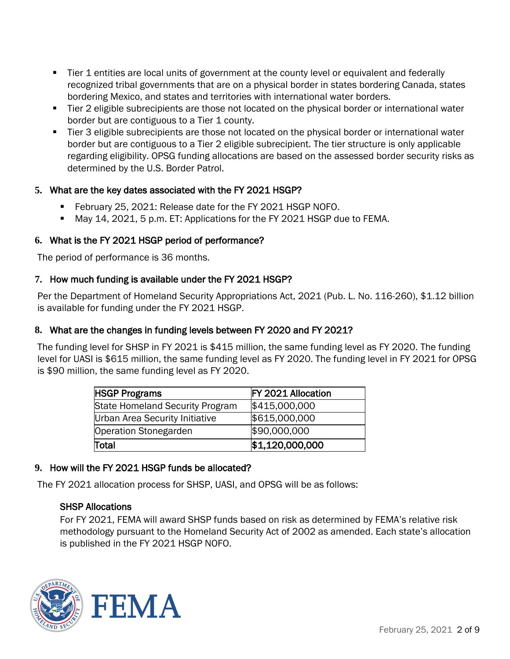- Tier 1 entities are local units of government at the county level or equivalent and federally recognized tribal governments that are on a physical border in states bordering Canada, states bordering Mexico, and states and territories with international water borders.
- Tier 2 eligible subrecipients are those not located on the physical border or international water border but are contiguous to a Tier 1 county.
- Tier 3 eligible subrecipients are those not located on the physical border or international water border but are contiguous to a Tier 2 eligible subrecipient. The tier structure is only applicable regarding eligibility. OPSG funding allocations are based on the assessed border security risks as determined by the U.S. Border Patrol.

## **5.** What are the key dates associated with the FY 2021 HSGP?

- February 25, 2021: Release date for the FY 2021 HSGP NOFO.
- **■** May 14, 2021, 5 p.m. ET: Applications for the FY 2021 HSGP due to FEMA.

# **6.** What is the FY 2021 HSGP period of performance?

The period of performance is 36 months.

## **7.** How much funding is available under the FY 2021 HSGP?

Per the Department of Homeland Security Appropriations Act, 2021 (Pub. L. No. 116-260), \$1.12 billion is available for funding under the FY 2021 HSGP.

## **8.** What are the changes in funding levels between FY 2020 and FY 2021?

The funding level for SHSP in FY 2021 is \$415 million, the same funding level as FY 2020. The funding level for UASI is \$615 million, the same funding level as FY 2020. The funding level in FY 2021 for OPSG is \$90 million, the same funding level as FY 2020.

| <b>HSGP Programs</b>                   | <b>FY 2021 Allocation</b> |
|----------------------------------------|---------------------------|
| <b>State Homeland Security Program</b> | \$415,000,000             |
| Urban Area Security Initiative         | \$615,000,000             |
| <b>Operation Stonegarden</b>           | \$90,000,000              |
| Total                                  | \$1,120,000,000           |

## **9.** How will the FY 2021 HSGP funds be allocated?

The FY 2021 allocation process for SHSP, UASI, and OPSG will be as follows:

#### SHSP Allocations

For FY 2021, FEMA will award SHSP funds based on risk as determined by FEMA's relative risk methodology pursuant to the Homeland Security Act of 2002 as amended. Each state's allocation is published in the FY 2021 HSGP NOFO.

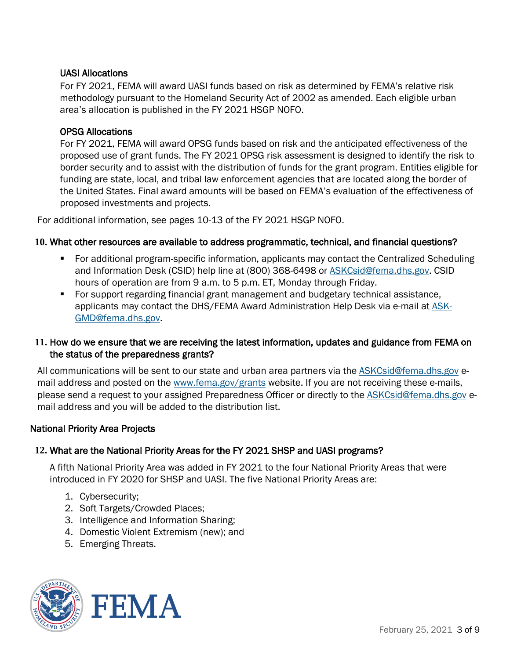## UASI Allocations

For FY 2021, FEMA will award UASI funds based on risk as determined by FEMA's relative risk methodology pursuant to the Homeland Security Act of 2002 as amended. Each eligible urban area's allocation is published in the FY 2021 HSGP NOFO.

#### OPSG Allocations

For FY 2021, FEMA will award OPSG funds based on risk and the anticipated effectiveness of the proposed use of grant funds. The FY 2021 OPSG risk assessment is designed to identify the risk to border security and to assist with the distribution of funds for the grant program. Entities eligible for funding are state, local, and tribal law enforcement agencies that are located along the border of the United States. Final award amounts will be based on FEMA's evaluation of the effectiveness of proposed investments and projects.

For additional information, see pages 10-13 of the FY 2021 HSGP NOFO.

#### **10.** What other resources are available to address programmatic, technical, and financial questions?

- For additional program-specific information, applicants may contact the Centralized Scheduling and Information Desk (CSID) help line at (800) 368-6498 or [ASKCsid@fema.dhs.gov.](mailto:ASKCsid@fema.dhs.gov) CSID hours of operation are from 9 a.m. to 5 p.m. ET, Monday through Friday.
- For support regarding financial grant management and budgetary technical assistance, applicants may contact the DHS/FEMA Award Administration Help Desk via e-mail at [ASK-](file:///C:/Users/kthoma39/AppData/Local/Microsoft/Windows/INetCache/Content.Outlook/MHFDQOWN/ASK-GMD@fema.dhs.gov)[GMD@fema.dhs.gov.](file:///C:/Users/kthoma39/AppData/Local/Microsoft/Windows/INetCache/Content.Outlook/MHFDQOWN/ASK-GMD@fema.dhs.gov)

#### **11.** How do we ensure that we are receiving the latest information, updates and guidance from FEMA on the status of the preparedness grants?

All communications will be sent to our state and urban area partners via the [ASKCsid@fema.dhs.gov](file:///C:/Users/kthoma39/AppData/Local/Microsoft/Windows/INetCache/Content.Outlook/MHFDQOWN/ASKCsid@fema.dhs.gov) email address and posted on the [www.fema.gov/grants](file:///C:/Users/kthoma39/AppData/Local/Microsoft/Windows/INetCache/Content.Outlook/MHFDQOWN/www.fema.gov/grants) website. If you are not receiving these e-mails, please send a request to your assigned Preparedness Officer or directly to the [ASKCsid@fema.dhs.gov](file:///C:/Users/kthoma39/AppData/Local/Microsoft/Windows/INetCache/Content.Outlook/MHFDQOWN/ASKCsid@fema.dhs.gov) email address and you will be added to the distribution list.

#### National Priority Area Projects

#### **12.** What are the National Priority Areas for the FY 2021 SHSP and UASI programs?

A fifth National Priority Area was added in FY 2021 to the four National Priority Areas that were introduced in FY 2020 for SHSP and UASI. The five National Priority Areas are:

- 1. Cybersecurity;
- 2. Soft Targets/Crowded Places;
- 3. Intelligence and Information Sharing;
- 4. Domestic Violent Extremism (new); and
- 5. Emerging Threats.



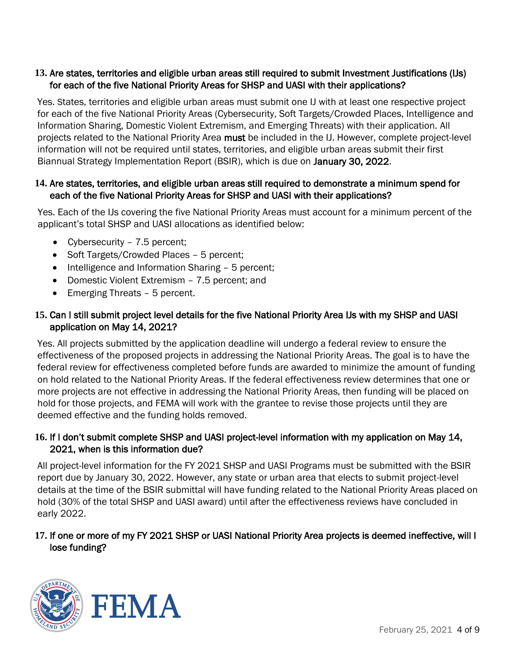## **13.** Are states, territories and eligible urban areas still required to submit Investment Justifications (IJs) for each of the five National Priority Areas for SHSP and UASI with their applications?

Yes. States, territories and eligible urban areas must submit one IJ with at least one respective project for each of the five National Priority Areas (Cybersecurity, Soft Targets/Crowded Places, Intelligence and Information Sharing, Domestic Violent Extremism, and Emerging Threats) with their application. All projects related to the National Priority Area must be included in the IJ. However, complete project-level information will not be required until states, territories, and eligible urban areas submit their first Biannual Strategy Implementation Report (BSIR), which is due on January 30, 2022.

## **14.** Are states, territories, and eligible urban areas still required to demonstrate a minimum spend for each of the five National Priority Areas for SHSP and UASI with their applications?

Yes. Each of the IJs covering the five National Priority Areas must account for a minimum percent of the applicant's total SHSP and UASI allocations as identified below:

- Cybersecurity 7.5 percent;
- Soft Targets/Crowded Places 5 percent:
- Intelligence and Information Sharing 5 percent;
- Domestic Violent Extremism 7.5 percent; and
- Emerging Threats 5 percent.

## **15.** Can I still submit project level details for the five National Priority Area IJs with my SHSP and UASI application on May 14, 2021?

Yes. All projects submitted by the application deadline will undergo a federal review to ensure the effectiveness of the proposed projects in addressing the National Priority Areas. The goal is to have the federal review for effectiveness completed before funds are awarded to minimize the amount of funding on hold related to the National Priority Areas. If the federal effectiveness review determines that one or more projects are not effective in addressing the National Priority Areas, then funding will be placed on hold for those projects, and FEMA will work with the grantee to revise those projects until they are deemed effective and the funding holds removed.

## **16.** If I don't submit complete SHSP and UASI project-level information with my application on May 14, 2021, when is this information due?

All project-level information for the FY 2021 SHSP and UASI Programs must be submitted with the BSIR report due by January 30, 2022. However, any state or urban area that elects to submit project-level details at the time of the BSIR submittal will have funding related to the National Priority Areas placed on hold (30% of the total SHSP and UASI award) until after the effectiveness reviews have concluded in early 2022.

## **17.** If one or more of my FY 2021 SHSP or UASI National Priority Area projects is deemed ineffective, will I lose funding?

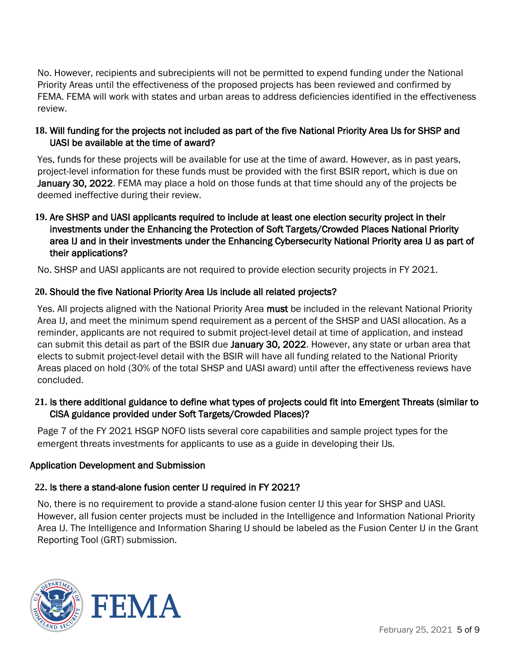No. However, recipients and subrecipients will not be permitted to expend funding under the National Priority Areas until the effectiveness of the proposed projects has been reviewed and confirmed by FEMA. FEMA will work with states and urban areas to address deficiencies identified in the effectiveness review.

## **18.** Will funding for the projects not included as part of the five National Priority Area IJs for SHSP and UASI be available at the time of award?

Yes, funds for these projects will be available for use at the time of award. However, as in past years, project-level information for these funds must be provided with the first BSIR report, which is due on January 30, 2022. FEMA may place a hold on those funds at that time should any of the projects be deemed ineffective during their review.

## **19.** Are SHSP and UASI applicants required to include at least one election security project in their investments under the Enhancing the Protection of Soft Targets/Crowded Places National Priority area IJ and in their investments under the Enhancing Cybersecurity National Priority area IJ as part of their applications?

No. SHSP and UASI applicants are not required to provide election security projects in FY 2021.

## **20.** Should the five National Priority Area IJs include all related projects?

Yes. All projects aligned with the National Priority Area must be included in the relevant National Priority Area IJ, and meet the minimum spend requirement as a percent of the SHSP and UASI allocation. As a reminder, applicants are not required to submit project-level detail at time of application, and instead can submit this detail as part of the BSIR due January 30, 2022. However, any state or urban area that elects to submit project-level detail with the BSIR will have all funding related to the National Priority Areas placed on hold (30% of the total SHSP and UASI award) until after the effectiveness reviews have concluded.

## **21.** Is there additional guidance to define what types of projects could fit into Emergent Threats (similar to CISA guidance provided under Soft Targets/Crowded Places)?

Page 7 of the FY 2021 HSGP NOFO lists several core capabilities and sample project types for the emergent threats investments for applicants to use as a guide in developing their IJs.

## Application Development and Submission

## **22.** Is there a stand-alone fusion center IJ required in FY 2021?

No, there is no requirement to provide a stand-alone fusion center IJ this year for SHSP and UASI. However, all fusion center projects must be included in the Intelligence and Information National Priority Area IJ. The Intelligence and Information Sharing IJ should be labeled as the Fusion Center IJ in the Grant Reporting Tool (GRT) submission.



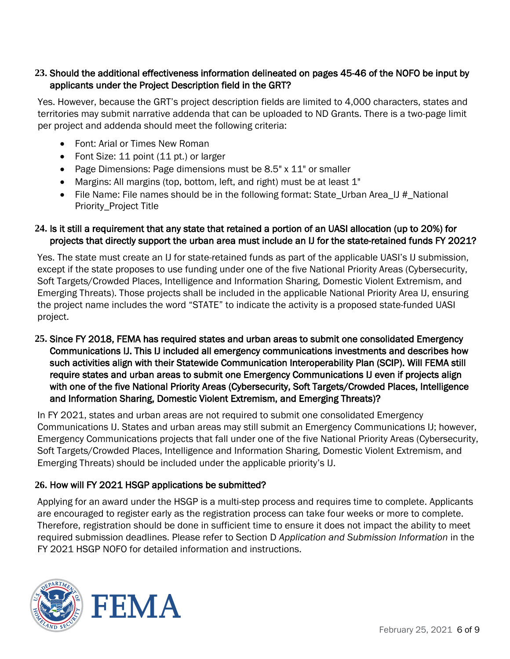## **23.** Should the additional effectiveness information delineated on pages 45-46 of the NOFO be input by applicants under the Project Description field in the GRT?

Yes. However, because the GRT's project description fields are limited to 4,000 characters, states and territories may submit narrative addenda that can be uploaded to ND Grants. There is a two-page limit per project and addenda should meet the following criteria:

- Font: Arial or Times New Roman
- Font Size: 11 point (11 pt.) or larger
- Page Dimensions: Page dimensions must be 8.5" x 11" or smaller
- Margins: All margins (top, bottom, left, and right) must be at least 1"
- File Name: File names should be in the following format: State Urban Area  $IJ \#$  National Priority\_Project Title

#### **24.** Is it still a requirement that any state that retained a portion of an UASI allocation (up to 20%) for projects that directly support the urban area must include an IJ for the state-retained funds FY 2021?

Yes. The state must create an IJ for state-retained funds as part of the applicable UASI's IJ submission, except if the state proposes to use funding under one of the five National Priority Areas (Cybersecurity, Soft Targets/Crowded Places, Intelligence and Information Sharing, Domestic Violent Extremism, and Emerging Threats). Those projects shall be included in the applicable National Priority Area IJ, ensuring the project name includes the word "STATE" to indicate the activity is a proposed state-funded UASI project.

**25.** Since FY 2018, FEMA has required states and urban areas to submit one consolidated Emergency Communications IJ. This IJ included all emergency communications investments and describes how such activities align with their Statewide Communication Interoperability Plan (SCIP). Will FEMA still require states and urban areas to submit one Emergency Communications IJ even if projects align with one of the five National Priority Areas (Cybersecurity, Soft Targets/Crowded Places, Intelligence and Information Sharing, Domestic Violent Extremism, and Emerging Threats)?

In FY 2021, states and urban areas are not required to submit one consolidated Emergency Communications IJ. States and urban areas may still submit an Emergency Communications IJ; however, Emergency Communications projects that fall under one of the five National Priority Areas (Cybersecurity, Soft Targets/Crowded Places, Intelligence and Information Sharing, Domestic Violent Extremism, and Emerging Threats) should be included under the applicable priority's IJ.

## **26.** How will FY 2021 HSGP applications be submitted?

Applying for an award under the HSGP is a multi-step process and requires time to complete. Applicants are encouraged to register early as the registration process can take four weeks or more to complete. Therefore, registration should be done in sufficient time to ensure it does not impact the ability to meet required submission deadlines. Please refer to Section D *Application and Submission Information* in the FY 2021 HSGP NOFO for detailed information and instructions.



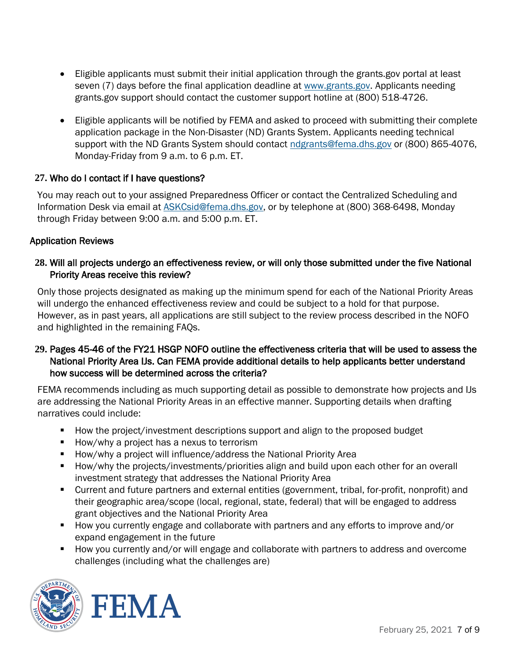- Eligible applicants must submit their initial application through the [grants.gov](https://grants.gov) portal at least seven (7) days before the final application deadline at [www.grants.gov.](file:///C:/Users/kthoma39/AppData/Local/Microsoft/Windows/INetCache/Content.Outlook/MHFDQOWN/www.grants.gov) Applicants needing [grants.gov](https://grants.gov) support should contact the customer support hotline at (800) 518-4726.
- Eligible applicants will be notified by FEMA and asked to proceed with submitting their complete application package in the Non-Disaster (ND) Grants System. Applicants needing technical support with the ND Grants System should contact [ndgrants@fema.dhs.gov](file:///C:/Users/kthoma39/AppData/Local/Microsoft/Windows/INetCache/Content.Outlook/MHFDQOWN/ndgrants@fema.dhs.gov) or (800) 865-4076, Monday-Friday from 9 a.m. to 6 p.m. ET.

## **27.** Who do I contact if I have questions?

You may reach out to your assigned Preparedness Officer or contact the Centralized Scheduling and Information Desk via email at **ASKCsid@fema.dhs.gov**, or by telephone at (800) 368-6498, Monday through Friday between 9:00 a.m. and 5:00 p.m. ET.

# Application Reviews

## **28.** Will all projects undergo an effectiveness review, or will only those submitted under the five National Priority Areas receive this review?

Only those projects designated as making up the minimum spend for each of the National Priority Areas will undergo the enhanced effectiveness review and could be subject to a hold for that purpose. However, as in past years, all applications are still subject to the review process described in the NOFO and highlighted in the remaining FAQs.

## **29.** Pages 45-46 of the FY21 HSGP NOFO outline the effectiveness criteria that will be used to assess the National Priority Area IJs. Can FEMA provide additional details to help applicants better understand how success will be determined across the criteria?

FEMA recommends including as much supporting detail as possible to demonstrate how projects and IJs are addressing the National Priority Areas in an effective manner. Supporting details when drafting narratives could include:

- How the project/investment descriptions support and align to the proposed budget
- How/why a project has a nexus to terrorism
- How/why a project will influence/address the National Priority Area
- How/why the projects/investments/priorities align and build upon each other for an overall investment strategy that addresses the National Priority Area
- Current and future partners and external entities (government, tribal, for-profit, nonprofit) and their geographic area/scope (local, regional, state, federal) that will be engaged to address grant objectives and the National Priority Area
- How you currently engage and collaborate with partners and any efforts to improve and/or expand engagement in the future
- How you currently and/or will engage and collaborate with partners to address and overcome challenges (including what the challenges are)



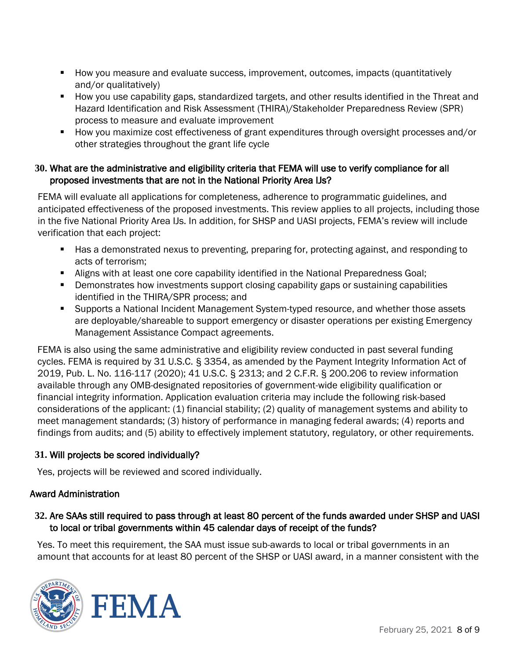- How you measure and evaluate success, improvement, outcomes, impacts (quantitatively and/or qualitatively)
- How you use capability gaps, standardized targets, and other results identified in the Threat and Hazard Identification and Risk Assessment (THIRA)/Stakeholder Preparedness Review (SPR) process to measure and evaluate improvement
- How you maximize cost effectiveness of grant expenditures through oversight processes and/or other strategies throughout the grant life cycle

## **30.** What are the administrative and eligibility criteria that FEMA will use to verify compliance for all proposed investments that are not in the National Priority Area IJs?

FEMA will evaluate all applications for completeness, adherence to programmatic guidelines, and anticipated effectiveness of the proposed investments. This review applies to all projects, including those in the five National Priority Area IJs. In addition, for SHSP and UASI projects, FEMA's review will include verification that each project:

- Has a demonstrated nexus to preventing, preparing for, protecting against, and responding to acts of terrorism;
- **E** Aligns with at least one core capability identified in the National Preparedness Goal;
- **•** Demonstrates how investments support closing capability gaps or sustaining capabilities identified in the THIRA/SPR process; and
- Supports a National Incident Management System-typed resource, and whether those assets are deployable/shareable to support emergency or disaster operations per existing Emergency Management Assistance Compact agreements.

 2019, Pub. L. No. 116-117 (2020); 41 U.S.C. § 2313; and 2 C.F.R. § 200.206 to review information FEMA is also using the same administrative and eligibility review conducted in past several funding cycles. FEMA is required by 31 U.S.C. § 3354, as amended by the Payment Integrity Information Act of available through any OMB-designated repositories of government-wide eligibility qualification or financial integrity information. Application evaluation criteria may include the following risk-based considerations of the applicant: (1) financial stability; (2) quality of management systems and ability to meet management standards; (3) history of performance in managing federal awards; (4) reports and findings from audits; and (5) ability to effectively implement statutory, regulatory, or other requirements.

## **31.** Will projects be scored individually?

Yes, projects will be reviewed and scored individually.

# Award Administration

## to local or tribal governments within 45 calendar days of receipt of the funds? **32.** Are SAAs still required to pass through at least 80 percent of the funds awarded under SHSP and UASI

Yes. To meet this requirement, the SAA must issue sub-awards to local or tribal governments in an amount that accounts for at least 80 percent of the SHSP or UASI award, in a manner consistent with the